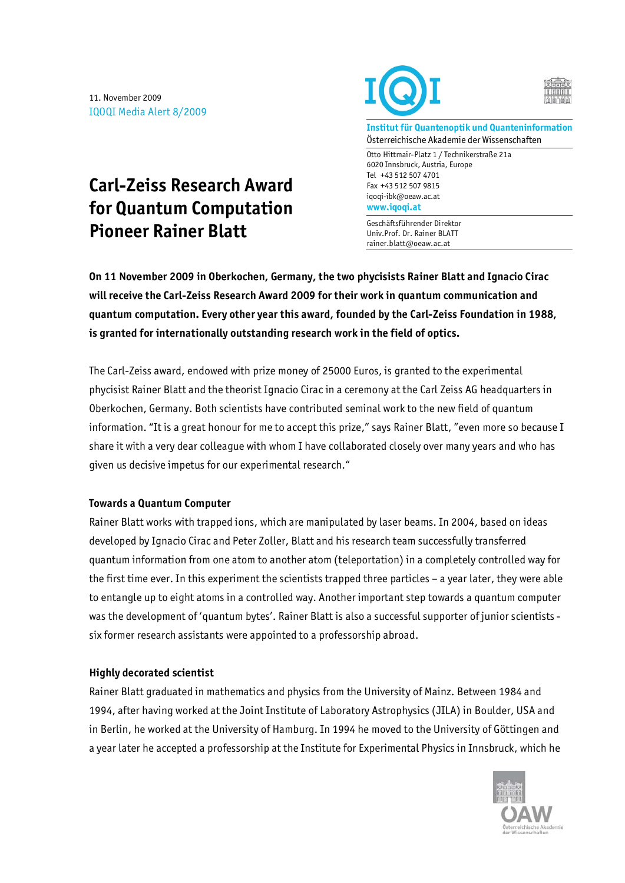11. November 2009 IQOQI Media Alert 8/2009

**Carl-Zeiss Research Award** 

**for Quantum Computation** 

**Pioneer Rainer Blatt** 





**Institut für Quantenoptik und Quanteninformation**  Österreichische Akademie der Wissenschaften

Otto Hittmair-Platz 1 / Technikerstraße 21a 6020 Innsbruck, Austria, Europe Tel +43 512 507 4701 Fax +43 512 507 9815 iqoqi-ibk@oeaw.ac.at **www.iqoqi.at** 

Geschäftsführender Direktor Univ.Prof. Dr. Rainer BLATT rainer.blatt@oeaw.ac.at

**On 11 November 2009 in Oberkochen, Germany, the two phycisists Rainer Blatt and Ignacio Cirac will receive the Carl-Zeiss Research Award 2009 for their work in quantum communication and quantum computation. Every other year this award, founded by the Carl-Zeiss Foundation in 1988, is granted for internationally outstanding research work in the field of optics.** 

The Carl-Zeiss award, endowed with prize money of 25000 Euros, is granted to the experimental phycisist Rainer Blatt and the theorist Ignacio Cirac in a ceremony at the Carl Zeiss AG headquarters in Oberkochen, Germany. Both scientists have contributed seminal work to the new field of quantum information. "It is a great honour for me to accept this prize," says Rainer Blatt, "even more so because I share it with a very dear colleague with whom I have collaborated closely over many years and who has given us decisive impetus for our experimental research."

## **Towards a Quantum Computer**

Rainer Blatt works with trapped ions, which are manipulated by laser beams. In 2004, based on ideas developed by Ignacio Cirac and Peter Zoller, Blatt and his research team successfully transferred quantum information from one atom to another atom (teleportation) in a completely controlled way for the first time ever. In this experiment the scientists trapped three particles – a year later, they were able to entangle up to eight atoms in a controlled way. Another important step towards a quantum computer was the development of 'quantum bytes'. Rainer Blatt is also a successful supporter of junior scientists six former research assistants were appointed to a professorship abroad.

## **Highly decorated scientist**

Rainer Blatt graduated in mathematics and physics from the University of Mainz. Between 1984 and 1994, after having worked at the Joint Institute of Laboratory Astrophysics (JILA) in Boulder, USA and in Berlin, he worked at the University of Hamburg. In 1994 he moved to the University of Göttingen and a year later he accepted a professorship at the Institute for Experimental Physics in Innsbruck, which he